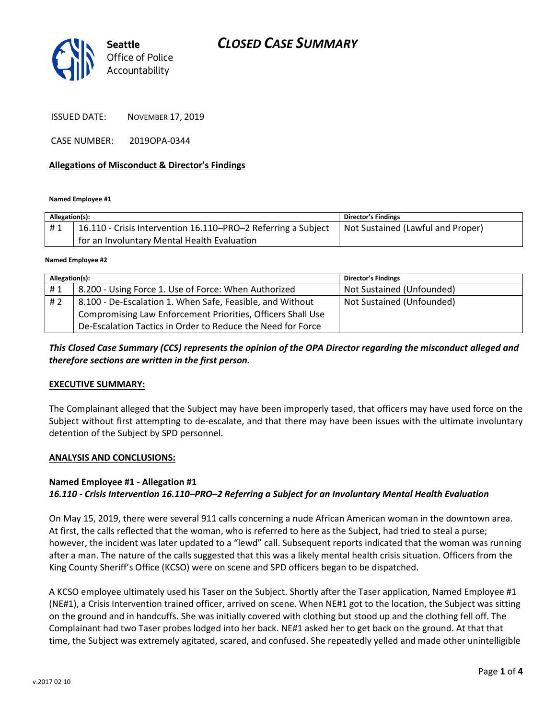# *CLOSED CASE SUMMARY*



ISSUED DATE: NOVEMBER 17, 2019

CASE NUMBER: 2019OPA-0344

### **Allegations of Misconduct & Director's Findings**

**Named Employee #1**

| Allegation(s): |                                                               | <b>Director's Findings</b>        |
|----------------|---------------------------------------------------------------|-----------------------------------|
| #1             | 16.110 - Crisis Intervention 16.110–PRO–2 Referring a Subject | Not Sustained (Lawful and Proper) |
|                | for an Involuntary Mental Health Evaluation                   |                                   |
|                |                                                               |                                   |

**Named Employee #2**

| Allegation(s): |                                                             | <b>Director's Findings</b> |
|----------------|-------------------------------------------------------------|----------------------------|
| #1             | 8.200 - Using Force 1. Use of Force: When Authorized        | Not Sustained (Unfounded)  |
| #2             | 8.100 - De-Escalation 1. When Safe, Feasible, and Without   | Not Sustained (Unfounded)  |
|                | Compromising Law Enforcement Priorities, Officers Shall Use |                            |
|                | De-Escalation Tactics in Order to Reduce the Need for Force |                            |

### *This Closed Case Summary (CCS) represents the opinion of the OPA Director regarding the misconduct alleged and therefore sections are written in the first person.*

#### **EXECUTIVE SUMMARY:**

The Complainant alleged that the Subject may have been improperly tased, that officers may have used force on the Subject without first attempting to de-escalate, and that there may have been issues with the ultimate involuntary detention of the Subject by SPD personnel.

#### **ANALYSIS AND CONCLUSIONS:**

#### **Named Employee #1 - Allegation #1**

### *16.110 - Crisis Intervention 16.110–PRO–2 Referring a Subject for an Involuntary Mental Health Evaluation*

On May 15, 2019, there were several 911 calls concerning a nude African American woman in the downtown area. At first, the calls reflected that the woman, who is referred to here as the Subject, had tried to steal a purse; however, the incident was later updated to a "lewd" call. Subsequent reports indicated that the woman was running after a man. The nature of the calls suggested that this was a likely mental health crisis situation. Officers from the King County Sheriff's Office (KCSO) were on scene and SPD officers began to be dispatched.

A KCSO employee ultimately used his Taser on the Subject. Shortly after the Taser application, Named Employee #1 (NE#1), a Crisis Intervention trained officer, arrived on scene. When NE#1 got to the location, the Subject was sitting on the ground and in handcuffs. She was initially covered with clothing but stood up and the clothing fell off. The Complainant had two Taser probes lodged into her back. NE#1 asked her to get back on the ground. At that that time, the Subject was extremely agitated, scared, and confused. She repeatedly yelled and made other unintelligible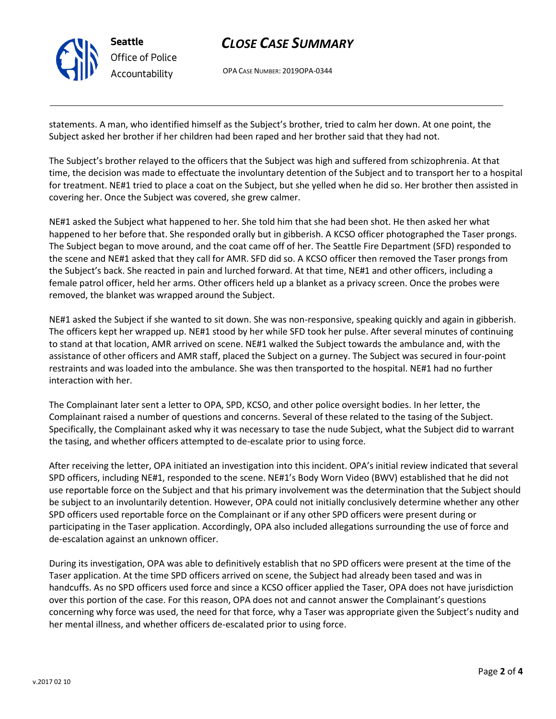

# *CLOSE CASE SUMMARY*

OPA CASE NUMBER: 2019OPA-0344

statements. A man, who identified himself as the Subject's brother, tried to calm her down. At one point, the Subject asked her brother if her children had been raped and her brother said that they had not.

The Subject's brother relayed to the officers that the Subject was high and suffered from schizophrenia. At that time, the decision was made to effectuate the involuntary detention of the Subject and to transport her to a hospital for treatment. NE#1 tried to place a coat on the Subject, but she yelled when he did so. Her brother then assisted in covering her. Once the Subject was covered, she grew calmer.

NE#1 asked the Subject what happened to her. She told him that she had been shot. He then asked her what happened to her before that. She responded orally but in gibberish. A KCSO officer photographed the Taser prongs. The Subject began to move around, and the coat came off of her. The Seattle Fire Department (SFD) responded to the scene and NE#1 asked that they call for AMR. SFD did so. A KCSO officer then removed the Taser prongs from the Subject's back. She reacted in pain and lurched forward. At that time, NE#1 and other officers, including a female patrol officer, held her arms. Other officers held up a blanket as a privacy screen. Once the probes were removed, the blanket was wrapped around the Subject.

NE#1 asked the Subject if she wanted to sit down. She was non-responsive, speaking quickly and again in gibberish. The officers kept her wrapped up. NE#1 stood by her while SFD took her pulse. After several minutes of continuing to stand at that location, AMR arrived on scene. NE#1 walked the Subject towards the ambulance and, with the assistance of other officers and AMR staff, placed the Subject on a gurney. The Subject was secured in four-point restraints and was loaded into the ambulance. She was then transported to the hospital. NE#1 had no further interaction with her.

The Complainant later sent a letter to OPA, SPD, KCSO, and other police oversight bodies. In her letter, the Complainant raised a number of questions and concerns. Several of these related to the tasing of the Subject. Specifically, the Complainant asked why it was necessary to tase the nude Subject, what the Subject did to warrant the tasing, and whether officers attempted to de-escalate prior to using force.

After receiving the letter, OPA initiated an investigation into this incident. OPA's initial review indicated that several SPD officers, including NE#1, responded to the scene. NE#1's Body Worn Video (BWV) established that he did not use reportable force on the Subject and that his primary involvement was the determination that the Subject should be subject to an involuntarily detention. However, OPA could not initially conclusively determine whether any other SPD officers used reportable force on the Complainant or if any other SPD officers were present during or participating in the Taser application. Accordingly, OPA also included allegations surrounding the use of force and de-escalation against an unknown officer.

During its investigation, OPA was able to definitively establish that no SPD officers were present at the time of the Taser application. At the time SPD officers arrived on scene, the Subject had already been tased and was in handcuffs. As no SPD officers used force and since a KCSO officer applied the Taser, OPA does not have jurisdiction over this portion of the case. For this reason, OPA does not and cannot answer the Complainant's questions concerning why force was used, the need for that force, why a Taser was appropriate given the Subject's nudity and her mental illness, and whether officers de-escalated prior to using force.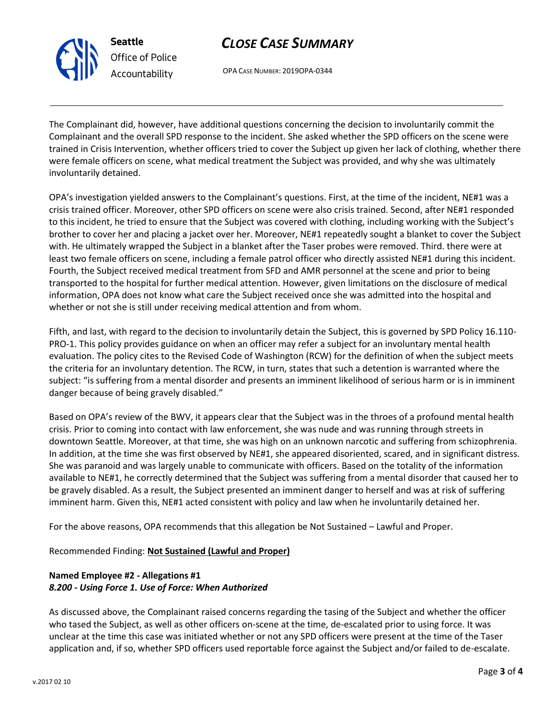

# *CLOSE CASE SUMMARY*

OPA CASE NUMBER: 2019OPA-0344

The Complainant did, however, have additional questions concerning the decision to involuntarily commit the Complainant and the overall SPD response to the incident. She asked whether the SPD officers on the scene were trained in Crisis Intervention, whether officers tried to cover the Subject up given her lack of clothing, whether there were female officers on scene, what medical treatment the Subject was provided, and why she was ultimately involuntarily detained.

OPA's investigation yielded answers to the Complainant's questions. First, at the time of the incident, NE#1 was a crisis trained officer. Moreover, other SPD officers on scene were also crisis trained. Second, after NE#1 responded to this incident, he tried to ensure that the Subject was covered with clothing, including working with the Subject's brother to cover her and placing a jacket over her. Moreover, NE#1 repeatedly sought a blanket to cover the Subject with. He ultimately wrapped the Subject in a blanket after the Taser probes were removed. Third. there were at least two female officers on scene, including a female patrol officer who directly assisted NE#1 during this incident. Fourth, the Subject received medical treatment from SFD and AMR personnel at the scene and prior to being transported to the hospital for further medical attention. However, given limitations on the disclosure of medical information, OPA does not know what care the Subject received once she was admitted into the hospital and whether or not she is still under receiving medical attention and from whom.

Fifth, and last, with regard to the decision to involuntarily detain the Subject, this is governed by SPD Policy 16.110- PRO-1. This policy provides guidance on when an officer may refer a subject for an involuntary mental health evaluation. The policy cites to the Revised Code of Washington (RCW) for the definition of when the subject meets the criteria for an involuntary detention. The RCW, in turn, states that such a detention is warranted where the subject: "is suffering from a mental disorder and presents an imminent likelihood of serious harm or is in imminent danger because of being gravely disabled."

Based on OPA's review of the BWV, it appears clear that the Subject was in the throes of a profound mental health crisis. Prior to coming into contact with law enforcement, she was nude and was running through streets in downtown Seattle. Moreover, at that time, she was high on an unknown narcotic and suffering from schizophrenia. In addition, at the time she was first observed by NE#1, she appeared disoriented, scared, and in significant distress. She was paranoid and was largely unable to communicate with officers. Based on the totality of the information available to NE#1, he correctly determined that the Subject was suffering from a mental disorder that caused her to be gravely disabled. As a result, the Subject presented an imminent danger to herself and was at risk of suffering imminent harm. Given this, NE#1 acted consistent with policy and law when he involuntarily detained her.

For the above reasons, OPA recommends that this allegation be Not Sustained – Lawful and Proper.

Recommended Finding: **Not Sustained (Lawful and Proper)**

## **Named Employee #2 - Allegations #1** *8.200 - Using Force 1. Use of Force: When Authorized*

As discussed above, the Complainant raised concerns regarding the tasing of the Subject and whether the officer who tased the Subject, as well as other officers on-scene at the time, de-escalated prior to using force. It was unclear at the time this case was initiated whether or not any SPD officers were present at the time of the Taser application and, if so, whether SPD officers used reportable force against the Subject and/or failed to de-escalate.